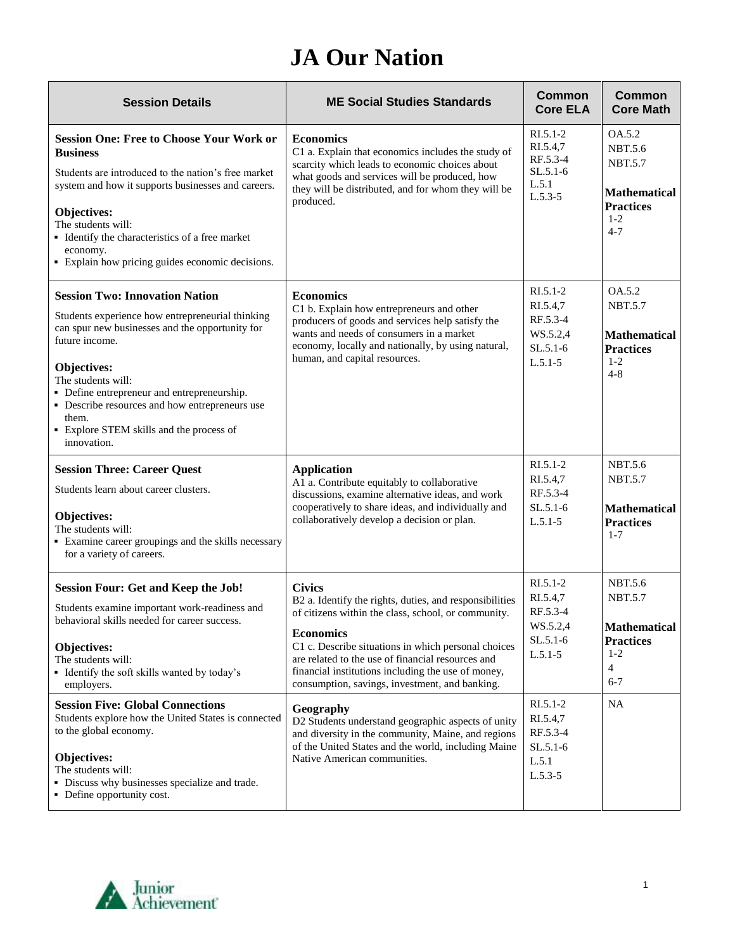## **JA Our Nation**

| <b>Session Details</b>                                                                                                                                                                                                                                                                                                                                                   | <b>ME Social Studies Standards</b>                                                                                                                                                                                                                                                                                                                                      | Common<br><b>Core ELA</b>                                                   | <b>Common</b><br><b>Core Math</b>                                                                         |
|--------------------------------------------------------------------------------------------------------------------------------------------------------------------------------------------------------------------------------------------------------------------------------------------------------------------------------------------------------------------------|-------------------------------------------------------------------------------------------------------------------------------------------------------------------------------------------------------------------------------------------------------------------------------------------------------------------------------------------------------------------------|-----------------------------------------------------------------------------|-----------------------------------------------------------------------------------------------------------|
| <b>Session One: Free to Choose Your Work or</b><br><b>Business</b><br>Students are introduced to the nation's free market<br>system and how it supports businesses and careers.<br>Objectives:<br>The students will:<br>• Identify the characteristics of a free market<br>economy.<br>• Explain how pricing guides economic decisions.                                  | <b>Economics</b><br>C1 a. Explain that economics includes the study of<br>scarcity which leads to economic choices about<br>what goods and services will be produced, how<br>they will be distributed, and for whom they will be<br>produced.                                                                                                                           | $RI.5.1-2$<br>RI.5.4,7<br>RF.5.3-4<br>$SL.5.1-6$<br>L.5.1<br>$L.5.3-5$      | OA.5.2<br><b>NBT.5.6</b><br><b>NBT.5.7</b><br><b>Mathematical</b><br><b>Practices</b><br>$1-2$<br>$4 - 7$ |
| <b>Session Two: Innovation Nation</b><br>Students experience how entrepreneurial thinking<br>can spur new businesses and the opportunity for<br>future income.<br>Objectives:<br>The students will:<br>• Define entrepreneur and entrepreneurship.<br>• Describe resources and how entrepreneurs use<br>them.<br>• Explore STEM skills and the process of<br>innovation. | <b>Economics</b><br>C1 b. Explain how entrepreneurs and other<br>producers of goods and services help satisfy the<br>wants and needs of consumers in a market<br>economy, locally and nationally, by using natural,<br>human, and capital resources.                                                                                                                    | $RI.5.1-2$<br>RI.5.4,7<br>RF.5.3-4<br>WS.5.2,4<br>$SL.5.1-6$<br>$L.5.1 - 5$ | OA.5.2<br><b>NBT.5.7</b><br><b>Mathematical</b><br><b>Practices</b><br>$1-2$<br>$4 - 8$                   |
| <b>Session Three: Career Quest</b><br>Students learn about career clusters.<br>Objectives:<br>The students will:<br>• Examine career groupings and the skills necessary<br>for a variety of careers.                                                                                                                                                                     | <b>Application</b><br>A1 a. Contribute equitably to collaborative<br>discussions, examine alternative ideas, and work<br>cooperatively to share ideas, and individually and<br>collaboratively develop a decision or plan.                                                                                                                                              | $RI.5.1-2$<br>RI.5.4,7<br>RF.5.3-4<br>$SL.5.1-6$<br>$L.5.1-5$               | <b>NBT.5.6</b><br><b>NBT.5.7</b><br><b>Mathematical</b><br><b>Practices</b><br>$1 - 7$                    |
| <b>Session Four: Get and Keep the Job!</b><br>Students examine important work-readiness and<br>behavioral skills needed for career success.<br>Objectives:<br>The students will:<br>• Identify the soft skills wanted by today's<br>employers.                                                                                                                           | <b>Civics</b><br>B2 a. Identify the rights, duties, and responsibilities<br>of citizens within the class, school, or community.<br><b>Economics</b><br>C1 c. Describe situations in which personal choices<br>are related to the use of financial resources and<br>financial institutions including the use of money,<br>consumption, savings, investment, and banking. | RI.5.1-2<br>RI.5.4,7<br>RF.5.3-4<br>WS.5.2,4<br>$SL.5.1-6$<br>$L.5.1-5$     | NBT.5.6<br><b>NBT.5.7</b><br><b>Mathematical</b><br><b>Practices</b><br>$1 - 2$<br>4<br>$6 - 7$           |
| <b>Session Five: Global Connections</b><br>Students explore how the United States is connected<br>to the global economy.<br>Objectives:<br>The students will:<br>• Discuss why businesses specialize and trade.<br>• Define opportunity cost.                                                                                                                            | Geography<br>D2 Students understand geographic aspects of unity<br>and diversity in the community, Maine, and regions<br>of the United States and the world, including Maine<br>Native American communities.                                                                                                                                                            | $RI.5.1-2$<br>RI.5.4,7<br>RF.5.3-4<br>$SL.5.1-6$<br>L.5.1<br>$L.5.3 - 5$    | <b>NA</b>                                                                                                 |